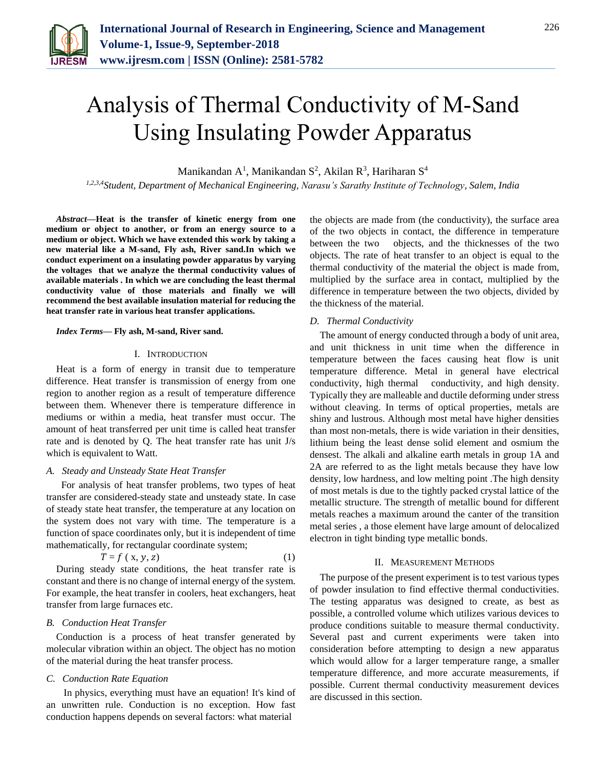

# Analysis of Thermal Conductivity of M-Sand Using Insulating Powder Apparatus

Manikandan A<sup>1</sup>, Manikandan S<sup>2</sup>, Akilan R<sup>3</sup>, Hariharan S<sup>4</sup>

*1,2,3,4Student, Department of Mechanical Engineering, Narasu's Sarathy Institute of Technology, Salem, India*

*Abstract***—Heat is the transfer of kinetic energy from one medium or object to another, or from an energy source to a medium or object. Which we have extended this work by taking a new material like a M-sand, Fly ash, River sand.In which we conduct experiment on a insulating powder apparatus by varying the voltages that we analyze the thermal conductivity values of available materials . In which we are concluding the least thermal conductivity value of those materials and finally we will recommend the best available insulation material for reducing the heat transfer rate in various heat transfer applications.**

#### *Index Terms***— Fly ash, M-sand, River sand.**

#### I. INTRODUCTION

Heat is a form of energy in transit due to temperature difference. Heat transfer is transmission of energy from one region to another region as a result of temperature difference between them. Whenever there is temperature difference in mediums or within a media, heat transfer must occur. The amount of heat transferred per unit time is called heat transfer rate and is denoted by Q. The heat transfer rate has unit J/s which is equivalent to Watt.

#### *A. Steady and Unsteady State Heat Transfer*

 For analysis of heat transfer problems, two types of heat transfer are considered-steady state and unsteady state. In case of steady state heat transfer, the temperature at any location on the system does not vary with time. The temperature is a function of space coordinates only, but it is independent of time mathematically, for rectangular coordinate system;

$$
T = f(x, y, z) \tag{1}
$$

During steady state conditions, the heat transfer rate is constant and there is no change of internal energy of the system. For example, the heat transfer in coolers, heat exchangers, heat transfer from large furnaces etc.

#### *B. Conduction Heat Transfer*

Conduction is a process of heat transfer generated by molecular vibration within an object. The object has no motion of the material during the heat transfer process.

#### *C. Conduction Rate Equation*

 In physics, everything must have an equation! It's kind of an unwritten rule. Conduction is no exception. How fast conduction happens depends on several factors: what material

the objects are made from (the conductivity), the surface area of the two objects in contact, the difference in temperature between the two objects, and the thicknesses of the two objects. The rate of heat transfer to an object is equal to the thermal conductivity of the material the object is made from, multiplied by the surface area in contact, multiplied by the difference in temperature between the two objects, divided by the thickness of the material.

#### *D. Thermal Conductivity*

The amount of energy conducted through a body of unit area, and unit thickness in unit time when the difference in temperature between the faces causing heat flow is unit temperature difference. Metal in general have electrical conductivity, high thermal conductivity, and high density. Typically they are malleable and ductile deforming under stress without cleaving. In terms of optical properties, metals are shiny and lustrous. Although most metal have higher densities than most non-metals, there is wide variation in their densities, lithium being the least dense solid element and osmium the densest. The alkali and alkaline earth metals in group 1A and 2A are referred to as the light metals because they have low density, low hardness, and low melting point .The high density of most metals is due to the tightly packed crystal lattice of the metallic structure. The strength of metallic bound for different metals reaches a maximum around the canter of the transition metal series , a those element have large amount of delocalized electron in tight binding type metallic bonds.

#### II. MEASUREMENT METHODS

The purpose of the present experiment is to test various types of powder insulation to find effective thermal conductivities. The testing apparatus was designed to create, as best as possible, a controlled volume which utilizes various devices to produce conditions suitable to measure thermal conductivity. Several past and current experiments were taken into consideration before attempting to design a new apparatus which would allow for a larger temperature range, a smaller temperature difference, and more accurate measurements, if possible. Current thermal conductivity measurement devices are discussed in this section.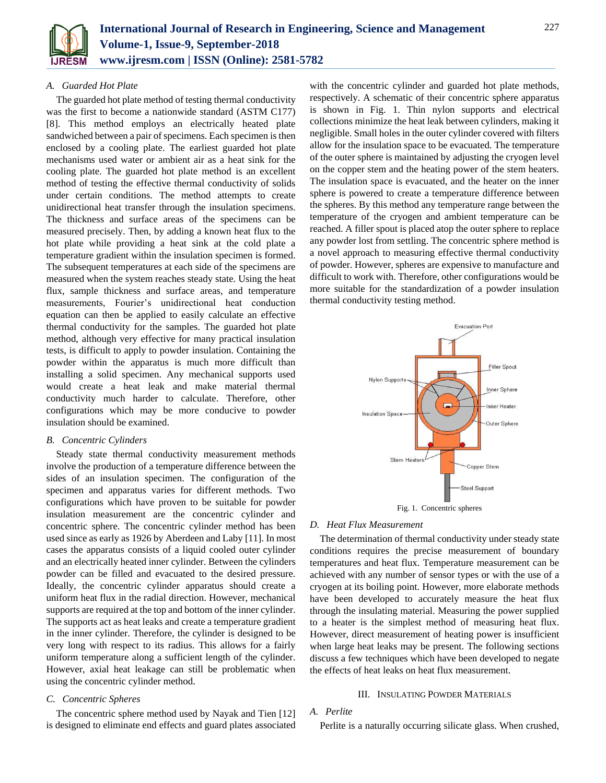

#### *A. Guarded Hot Plate*

The guarded hot plate method of testing thermal conductivity was the first to become a nationwide standard (ASTM C177) [8]. This method employs an electrically heated plate sandwiched between a pair of specimens. Each specimen is then enclosed by a cooling plate. The earliest guarded hot plate mechanisms used water or ambient air as a heat sink for the cooling plate. The guarded hot plate method is an excellent method of testing the effective thermal conductivity of solids under certain conditions. The method attempts to create unidirectional heat transfer through the insulation specimens. The thickness and surface areas of the specimens can be measured precisely. Then, by adding a known heat flux to the hot plate while providing a heat sink at the cold plate a temperature gradient within the insulation specimen is formed. The subsequent temperatures at each side of the specimens are measured when the system reaches steady state. Using the heat flux, sample thickness and surface areas, and temperature measurements, Fourier's unidirectional heat conduction equation can then be applied to easily calculate an effective thermal conductivity for the samples. The guarded hot plate method, although very effective for many practical insulation tests, is difficult to apply to powder insulation. Containing the powder within the apparatus is much more difficult than installing a solid specimen. Any mechanical supports used would create a heat leak and make material thermal conductivity much harder to calculate. Therefore, other configurations which may be more conducive to powder insulation should be examined.

#### *B. Concentric Cylinders*

Steady state thermal conductivity measurement methods involve the production of a temperature difference between the sides of an insulation specimen. The configuration of the specimen and apparatus varies for different methods. Two configurations which have proven to be suitable for powder insulation measurement are the concentric cylinder and concentric sphere. The concentric cylinder method has been used since as early as 1926 by Aberdeen and Laby [11]. In most cases the apparatus consists of a liquid cooled outer cylinder and an electrically heated inner cylinder. Between the cylinders powder can be filled and evacuated to the desired pressure. Ideally, the concentric cylinder apparatus should create a uniform heat flux in the radial direction. However, mechanical supports are required at the top and bottom of the inner cylinder. The supports act as heat leaks and create a temperature gradient in the inner cylinder. Therefore, the cylinder is designed to be very long with respect to its radius. This allows for a fairly uniform temperature along a sufficient length of the cylinder. However, axial heat leakage can still be problematic when using the concentric cylinder method.

#### *C. Concentric Spheres*

The concentric sphere method used by Nayak and Tien [12] is designed to eliminate end effects and guard plates associated with the concentric cylinder and guarded hot plate methods, respectively. A schematic of their concentric sphere apparatus is shown in Fig. 1. Thin nylon supports and electrical collections minimize the heat leak between cylinders, making it negligible. Small holes in the outer cylinder covered with filters allow for the insulation space to be evacuated. The temperature of the outer sphere is maintained by adjusting the cryogen level on the copper stem and the heating power of the stem heaters. The insulation space is evacuated, and the heater on the inner sphere is powered to create a temperature difference between the spheres. By this method any temperature range between the temperature of the cryogen and ambient temperature can be reached. A filler spout is placed atop the outer sphere to replace any powder lost from settling. The concentric sphere method is a novel approach to measuring effective thermal conductivity of powder. However, spheres are expensive to manufacture and difficult to work with. Therefore, other configurations would be more suitable for the standardization of a powder insulation thermal conductivity testing method.



Fig. 1. Concentric spheres

#### *D. Heat Flux Measurement*

The determination of thermal conductivity under steady state conditions requires the precise measurement of boundary temperatures and heat flux. Temperature measurement can be achieved with any number of sensor types or with the use of a cryogen at its boiling point. However, more elaborate methods have been developed to accurately measure the heat flux through the insulating material. Measuring the power supplied to a heater is the simplest method of measuring heat flux. However, direct measurement of heating power is insufficient when large heat leaks may be present. The following sections discuss a few techniques which have been developed to negate the effects of heat leaks on heat flux measurement.

#### III. INSULATING POWDER MATERIALS

#### *A. Perlite*

Perlite is a naturally occurring silicate glass. When crushed,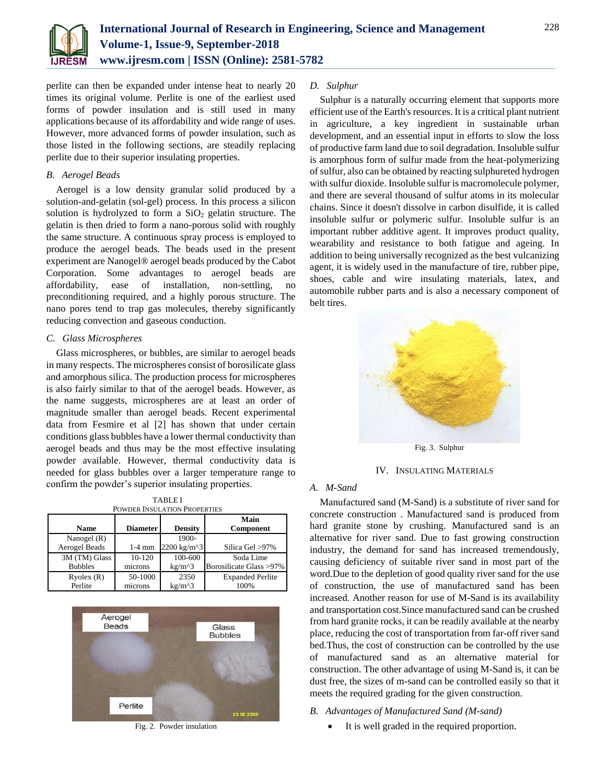

perlite can then be expanded under intense heat to nearly 20 times its original volume. Perlite is one of the earliest used forms of powder insulation and is still used in many applications because of its affordability and wide range of uses. However, more advanced forms of powder insulation, such as those listed in the following sections, are steadily replacing perlite due to their superior insulating properties.

#### *B. Aerogel Beads*

Aerogel is a low density granular solid produced by a solution-and-gelatin (sol-gel) process. In this process a silicon solution is hydrolyzed to form a  $SiO<sub>2</sub>$  gelatin structure. The gelatin is then dried to form a nano-porous solid with roughly the same structure. A continuous spray process is employed to produce the aerogel beads. The beads used in the present experiment are Nanogel® aerogel beads produced by the Cabot Corporation. Some advantages to aerogel beads are affordability, ease of installation, non-settling, no preconditioning required, and a highly porous structure. The nano pores tend to trap gas molecules, thereby significantly reducing convection and gaseous conduction.

#### *C. Glass Microspheres*

Glass microspheres, or bubbles, are similar to aerogel beads in many respects. The microspheres consist of borosilicate glass and amorphous silica. The production process for microspheres is also fairly similar to that of the aerogel beads. However, as the name suggests, microspheres are at least an order of magnitude smaller than aerogel beads. Recent experimental data from Fesmire et al [2] has shown that under certain conditions glass bubbles have a lower thermal conductivity than aerogel beads and thus may be the most effective insulating powder available. However, thermal conductivity data is needed for glass bubbles over a larger temperature range to confirm the powder's superior insulating properties.

| TABLE I<br><b>POWDER INSULATION PROPERTIES</b> |                 |                |                         |  |  |  |
|------------------------------------------------|-----------------|----------------|-------------------------|--|--|--|
| Name                                           | <b>Diameter</b> | <b>Density</b> | Main<br>Component       |  |  |  |
| Nanogel $(R)$                                  |                 | 1900-          |                         |  |  |  |
| <b>Aerogel Beads</b>                           | $1-4$ mm        | 2200 kg/m^3    | Silica Gel >97%         |  |  |  |
| 3M (TM) Glass                                  | 10-120          | 100-600        | Soda Lime               |  |  |  |
| <b>Bubbles</b>                                 | microns         | $kg/m^{3}$     | Borosilicate Glass >97% |  |  |  |
| Ryolex(R)                                      | 50-1000         | 2350           | <b>Expanded Perlite</b> |  |  |  |
| Perlite                                        | microns         | $kg/m^{3}$     | 100%                    |  |  |  |

TABLE I



Fig. 2. Powder insulation

#### *D. Sulphur*

Sulphur is a naturally occurring element that supports more efficient use of the Earth's resources. It is a critical plant nutrient in agriculture, a key ingredient in sustainable urban development, and an essential input in efforts to slow the loss of productive farm land due to soil degradation. Insoluble sulfur is amorphous form of sulfur made from the heat-polymerizing of sulfur, also can be obtained by reacting sulphureted hydrogen with sulfur dioxide. Insoluble sulfur is macromolecule polymer, and there are several thousand of sulfur atoms in its molecular chains. Since it doesn't dissolve in carbon disulfide, it is called insoluble sulfur or polymeric sulfur. Insoluble sulfur is an important rubber additive agent. It improves product quality, wearability and resistance to both fatigue and ageing. In addition to being universally recognized as the best vulcanizing agent, it is widely used in the manufacture of tire, rubber pipe, shoes, cable and wire insulating materials, latex, and automobile rubber parts and is also a necessary component of belt tires.



IV. INSULATING MATERIALS

#### *A. M-Sand*

Manufactured sand (M-Sand) is a substitute of river sand for concrete construction . Manufactured sand is produced from hard granite stone by crushing. Manufactured sand is an alternative for river sand. Due to fast growing construction industry, the demand for sand has increased tremendously, causing deficiency of suitable river sand in most part of the word.Due to the depletion of good quality river sand for the use of construction, the use of manufactured sand has been increased. Another reason for use of M-Sand is its availability and transportation cost.Since manufactured sand can be crushed from hard granite rocks, it can be readily available at the nearby place, reducing the cost of transportation from far-off river sand bed.Thus, the cost of construction can be controlled by the use of manufactured sand as an alternative material for construction. The other advantage of using M-Sand is, it can be dust free, the sizes of m-sand can be controlled easily so that it meets the required grading for the given construction.

- *B. Advantages of Manufactured Sand (M-sand)*
	- It is well graded in the required proportion.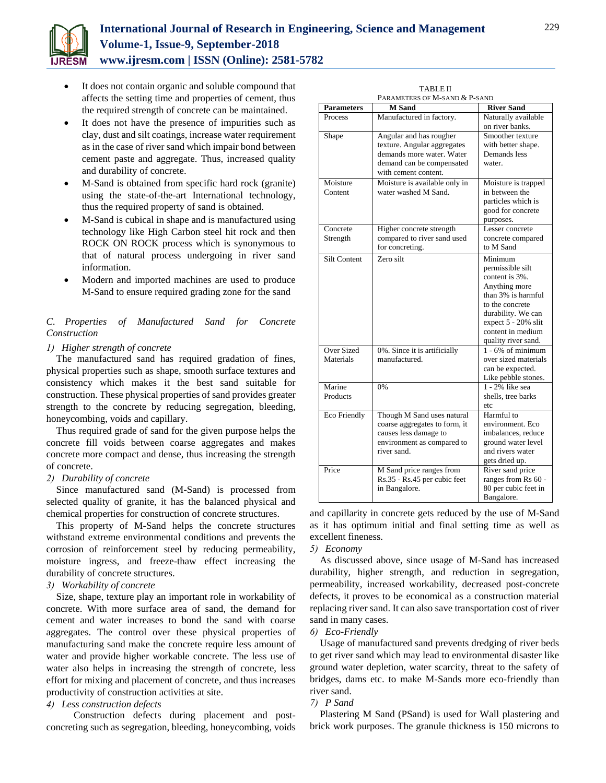

# **International Journal of Research in Engineering, Science and Management Volume-1, Issue-9, September-2018 www.ijresm.com | ISSN (Online): 2581-5782**

- It does not contain organic and soluble compound that affects the setting time and properties of cement, thus the required strength of concrete can be maintained.
- It does not have the presence of impurities such as clay, dust and silt coatings, increase water requirement as in the case of river sand which impair bond between cement paste and aggregate. Thus, increased quality and durability of concrete.
- M-Sand is obtained from specific hard rock (granite) using the state-of-the-art International technology, thus the required property of sand is obtained.
- M-Sand is cubical in shape and is manufactured using technology like High Carbon steel hit rock and then ROCK ON ROCK process which is synonymous to that of natural process undergoing in river sand information.
- Modern and imported machines are used to produce M-Sand to ensure required grading zone for the sand

# *C. Properties of Manufactured Sand for Concrete Construction*

#### *1) Higher strength of concrete*

The manufactured sand has required gradation of fines, physical properties such as shape, smooth surface textures and consistency which makes it the best sand suitable for construction. These physical properties of sand provides greater strength to the concrete by reducing segregation, bleeding, honeycombing, voids and capillary.

Thus required grade of sand for the given purpose helps the concrete fill voids between coarse aggregates and makes concrete more compact and dense, thus increasing the strength of concrete.

#### *2) Durability of concrete*

Since manufactured sand (M-Sand) is processed from selected quality of granite, it has the balanced physical and chemical properties for construction of concrete structures.

This property of M-Sand helps the concrete structures withstand extreme environmental conditions and prevents the corrosion of reinforcement steel by reducing permeability, moisture ingress, and freeze-thaw effect increasing the durability of concrete structures.

#### *3) Workability of concrete*

Size, shape, texture play an important role in workability of concrete. With more surface area of sand, the demand for cement and water increases to bond the sand with coarse aggregates. The control over these physical properties of manufacturing sand make the concrete require less amount of water and provide higher workable concrete. The less use of water also helps in increasing the strength of concrete, less effort for mixing and placement of concrete, and thus increases productivity of construction activities at site.

#### *4) Less construction defects*

 Construction defects during placement and postconcreting such as segregation, bleeding, honeycombing, voids

|                     | PARAMETERS OF M-SAND & P-SAND               |                      |
|---------------------|---------------------------------------------|----------------------|
| <b>Parameters</b>   | <b>M</b> Sand                               | <b>River Sand</b>    |
| Process             | Manufactured in factory.                    | Naturally available  |
|                     |                                             | on river banks.      |
| Shape               | Angular and has rougher                     | Smoother texture     |
|                     | texture. Angular aggregates                 | with better shape.   |
|                     | demands more water. Water                   | Demands less         |
|                     | demand can be compensated                   | water.               |
|                     | with cement content.                        |                      |
| Moisture            | Moisture is available only in               | Moisture is trapped  |
| Content             | water washed M Sand.                        | in between the       |
|                     |                                             | particles which is   |
|                     |                                             | good for concrete    |
|                     |                                             | purposes.            |
| Concrete            | Higher concrete strength                    | Lesser concrete      |
| Strength            | compared to river sand used                 | concrete compared    |
|                     | for concreting.                             | to M Sand            |
| <b>Silt Content</b> | Zero silt                                   | Minimum              |
|                     |                                             | permissible silt     |
|                     |                                             | content is 3%.       |
|                     |                                             | Anything more        |
|                     |                                             | than 3% is harmful   |
|                     |                                             | to the concrete      |
|                     |                                             | durability. We can   |
|                     |                                             | expect 5 - 20% slit  |
|                     |                                             | content in medium    |
|                     |                                             | quality river sand.  |
| Over Sized          | $\overline{0\%}$ . Since it is artificially | $1 - 6\%$ of minimum |
| Materials           | manufactured.                               | over sized materials |
|                     |                                             | can be expected.     |
|                     |                                             | Like pebble stones.  |
| Marine              | 0%                                          | 1 - 2% like sea      |
| Products            |                                             | shells, tree barks   |
|                     |                                             | etc                  |
| Eco Friendly        | Though M Sand uses natural                  | Harmful to           |
|                     | coarse aggregates to form, it               | environment. Eco     |
|                     | causes less damage to                       | imbalances, reduce   |
|                     | environment as compared to                  | ground water level   |
|                     | river sand.                                 | and rivers water     |
|                     |                                             | gets dried up.       |
| Price               | M Sand price ranges from                    | River sand price     |
|                     | Rs.35 - Rs.45 per cubic feet                | ranges from Rs 60 -  |
|                     | in Bangalore.                               | 80 per cubic feet in |
|                     |                                             | Bangalore.           |

TABLE II

and capillarity in concrete gets reduced by the use of M-Sand as it has optimum initial and final setting time as well as excellent fineness.

#### *5) Economy*

As discussed above, since usage of M-Sand has increased durability, higher strength, and reduction in segregation, permeability, increased workability, decreased post-concrete defects, it proves to be economical as a construction material replacing river sand. It can also save transportation cost of river sand in many cases.

#### *6) Eco-Friendly*

Usage of manufactured sand prevents dredging of river beds to get river sand which may lead to environmental disaster like ground water depletion, water scarcity, threat to the safety of bridges, dams etc. to make M-Sands more eco-friendly than river sand.

#### *7) P Sand*

Plastering M Sand (PSand) is used for Wall plastering and brick work purposes. The granule thickness is 150 microns to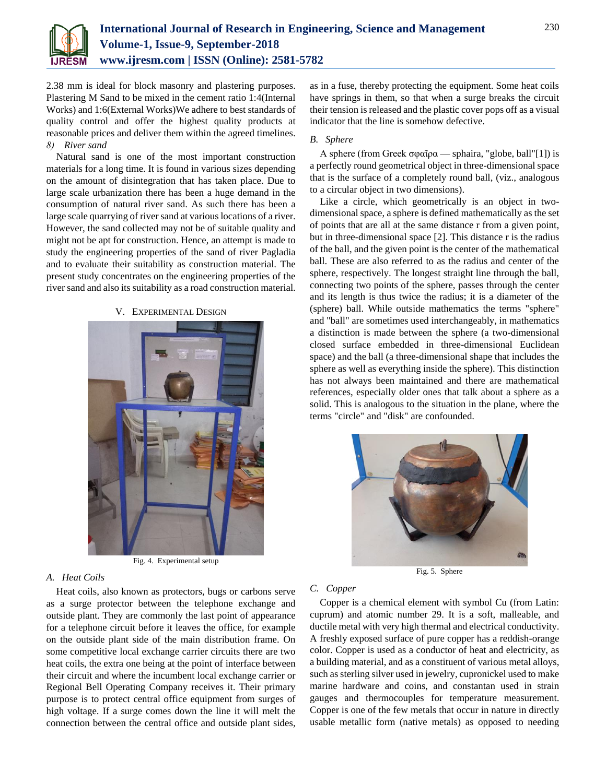

2.38 mm is ideal for block masonry and plastering purposes. Plastering M Sand to be mixed in the cement ratio 1:4(Internal Works) and 1:6(External Works)We adhere to best standards of quality control and offer the highest quality products at reasonable prices and deliver them within the agreed timelines. *8) River sand*

Natural sand is one of the most important construction materials for a long time. It is found in various sizes depending on the amount of disintegration that has taken place. Due to large scale urbanization there has been a huge demand in the consumption of natural river sand. As such there has been a large scale quarrying of river sand at various locations of a river. However, the sand collected may not be of suitable quality and might not be apt for construction. Hence, an attempt is made to study the engineering properties of the sand of river Pagladia and to evaluate their suitability as construction material. The present study concentrates on the engineering properties of the river sand and also its suitability as a road construction material.

#### V. EXPERIMENTAL DESIGN



Fig. 4. Experimental setup

# *A. Heat Coils*

Heat coils, also known as protectors, bugs or carbons serve as a surge protector between the telephone exchange and outside plant. They are commonly the last point of appearance for a telephone circuit before it leaves the office, for example on the outside plant side of the main distribution frame. On some competitive local exchange carrier circuits there are two heat coils, the extra one being at the point of interface between their circuit and where the incumbent local exchange carrier or Regional Bell Operating Company receives it. Their primary purpose is to protect central office equipment from surges of high voltage. If a surge comes down the line it will melt the connection between the central office and outside plant sides,

as in a fuse, thereby protecting the equipment. Some heat coils have springs in them, so that when a surge breaks the circuit their tension is released and the plastic cover pops off as a visual indicator that the line is somehow defective.

#### *B. Sphere*

A sphere (from Greek σφαῖρα — sphaira, "globe, ball"[1]) is a perfectly round geometrical object in three-dimensional space that is the surface of a completely round ball, (viz., analogous to a circular object in two dimensions).

Like a circle, which geometrically is an object in twodimensional space, a sphere is defined mathematically as the set of points that are all at the same distance r from a given point, but in three-dimensional space [2]. This distance r is the radius of the ball, and the given point is the center of the mathematical ball. These are also referred to as the radius and center of the sphere, respectively. The longest straight line through the ball, connecting two points of the sphere, passes through the center and its length is thus twice the radius; it is a diameter of the (sphere) ball. While outside mathematics the terms "sphere" and "ball" are sometimes used interchangeably, in mathematics a distinction is made between the sphere (a two-dimensional closed surface embedded in three-dimensional Euclidean space) and the ball (a three-dimensional shape that includes the sphere as well as everything inside the sphere). This distinction has not always been maintained and there are mathematical references, especially older ones that talk about a sphere as a solid. This is analogous to the situation in the plane, where the terms "circle" and "disk" are confounded.



Fig. 5. Sphere

#### *C. Copper*

Copper is a chemical element with symbol Cu (from Latin: cuprum) and atomic number 29. It is a soft, malleable, and ductile metal with very high thermal and electrical conductivity. A freshly exposed surface of pure copper has a reddish-orange color. Copper is used as a conductor of heat and electricity, as a building material, and as a constituent of various metal alloys, such as sterling silver used in jewelry, cupronickel used to make marine hardware and coins, and constantan used in strain gauges and thermocouples for temperature measurement. Copper is one of the few metals that occur in nature in directly usable metallic form (native metals) as opposed to needing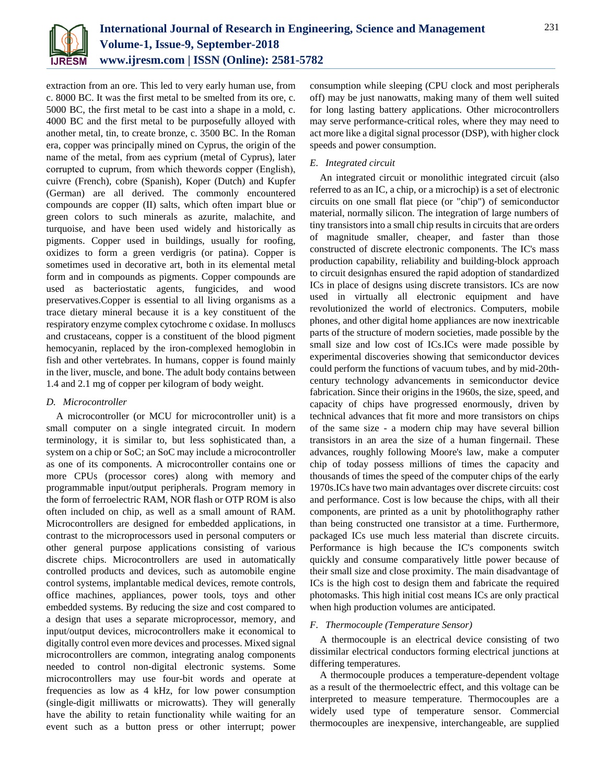

extraction from an ore. This led to very early human use, from c. 8000 BC. It was the first metal to be smelted from its ore, c. 5000 BC, the first metal to be cast into a shape in a mold, c. 4000 BC and the first metal to be purposefully alloyed with another metal, tin, to create bronze, c. 3500 BC. In the Roman era, copper was principally mined on Cyprus, the origin of the name of the metal, from aes сyprium (metal of Cyprus), later corrupted to сuprum, from which thewords copper (English), cuivre (French), cobre (Spanish), Koper (Dutch) and Kupfer (German) are all derived. The commonly encountered compounds are copper (II) salts, which often impart blue or green colors to such minerals as azurite, malachite, and turquoise, and have been used widely and historically as pigments. Copper used in buildings, usually for roofing, oxidizes to form a green verdigris (or patina). Copper is sometimes used in decorative art, both in its elemental metal form and in compounds as pigments. Copper compounds are used as bacteriostatic agents, fungicides, and wood preservatives.Copper is essential to all living organisms as a trace dietary mineral because it is a key constituent of the respiratory enzyme complex cytochrome c oxidase. In molluscs and crustaceans, copper is a constituent of the blood pigment hemocyanin, replaced by the iron-complexed hemoglobin in fish and other vertebrates. In humans, copper is found mainly in the liver, muscle, and bone. The adult body contains between 1.4 and 2.1 mg of copper per kilogram of body weight.

#### *D. Microcontroller*

A microcontroller (or MCU for microcontroller unit) is a small computer on a single integrated circuit. In modern terminology, it is similar to, but less sophisticated than, a system on a chip or SoC; an SoC may include a microcontroller as one of its components. A microcontroller contains one or more CPUs (processor cores) along with memory and programmable input/output peripherals. Program memory in the form of ferroelectric RAM, NOR flash or OTP ROM is also often included on chip, as well as a small amount of RAM. Microcontrollers are designed for embedded applications, in contrast to the microprocessors used in personal computers or other general purpose applications consisting of various discrete chips. Microcontrollers are used in automatically controlled products and devices, such as automobile engine control systems, implantable medical devices, remote controls, office machines, appliances, power tools, toys and other embedded systems. By reducing the size and cost compared to a design that uses a separate microprocessor, memory, and input/output devices, microcontrollers make it economical to digitally control even more devices and processes. Mixed signal microcontrollers are common, integrating analog components needed to control non-digital electronic systems. Some microcontrollers may use four-bit words and operate at frequencies as low as 4 kHz, for low power consumption (single-digit milliwatts or microwatts). They will generally have the ability to retain functionality while waiting for an event such as a button press or other interrupt; power

consumption while sleeping (CPU clock and most peripherals off) may be just nanowatts, making many of them well suited for long lasting battery applications. Other microcontrollers may serve performance-critical roles, where they may need to act more like a digital signal processor (DSP), with higher clock speeds and power consumption.

# *E. Integrated circuit*

An integrated circuit or monolithic integrated circuit (also referred to as an IC, a chip, or a microchip) is a set of electronic circuits on one small flat piece (or "chip") of semiconductor material, normally silicon. The integration of large numbers of tiny transistors into a small chip results in circuits that are orders of magnitude smaller, cheaper, and faster than those constructed of discrete electronic components. The IC's mass production capability, reliability and building-block approach to circuit designhas ensured the rapid adoption of standardized ICs in place of designs using discrete transistors. ICs are now used in virtually all electronic equipment and have revolutionized the world of electronics. Computers, mobile phones, and other digital home appliances are now inextricable parts of the structure of modern societies, made possible by the small size and low cost of ICs.ICs were made possible by experimental discoveries showing that semiconductor devices could perform the functions of vacuum tubes, and by mid-20thcentury technology advancements in semiconductor device fabrication. Since their origins in the 1960s, the size, speed, and capacity of chips have progressed enormously, driven by technical advances that fit more and more transistors on chips of the same size - a modern chip may have several billion transistors in an area the size of a human fingernail. These advances, roughly following Moore's law, make a computer chip of today possess millions of times the capacity and thousands of times the speed of the computer chips of the early 1970s.ICs have two main advantages over discrete circuits: cost and performance. Cost is low because the chips, with all their components, are printed as a unit by photolithography rather than being constructed one transistor at a time. Furthermore, packaged ICs use much less material than discrete circuits. Performance is high because the IC's components switch quickly and consume comparatively little power because of their small size and close proximity. The main disadvantage of ICs is the high cost to design them and fabricate the required photomasks. This high initial cost means ICs are only practical when high production volumes are anticipated.

#### *F. Thermocouple (Temperature Sensor)*

A thermocouple is an electrical device consisting of two dissimilar electrical conductors forming electrical junctions at differing temperatures.

A thermocouple produces a temperature-dependent voltage as a result of the thermoelectric effect, and this voltage can be interpreted to measure temperature. Thermocouples are a widely used type of temperature sensor. Commercial thermocouples are inexpensive, interchangeable, are supplied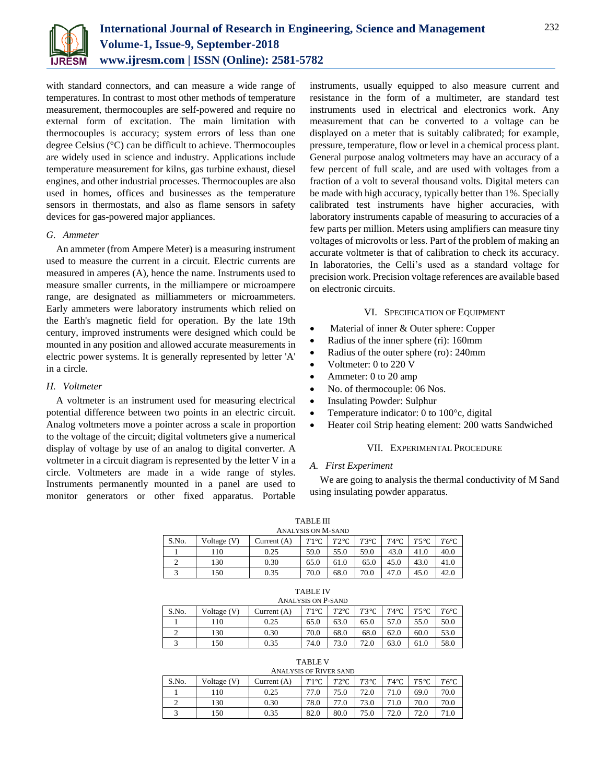

with standard connectors, and can measure a wide range of temperatures. In contrast to most other methods of temperature measurement, thermocouples are self-powered and require no external form of excitation. The main limitation with thermocouples is accuracy; system errors of less than one degree Celsius (°C) can be difficult to achieve. Thermocouples are widely used in science and industry. Applications include temperature measurement for kilns, gas turbine exhaust, diesel engines, and other industrial processes. Thermocouples are also used in homes, offices and businesses as the temperature sensors in thermostats, and also as flame sensors in safety devices for gas-powered major appliances.

#### *G. Ammeter*

An ammeter (from Ampere Meter) is a measuring instrument used to measure the current in a circuit. Electric currents are measured in amperes (A), hence the name. Instruments used to measure smaller currents, in the milliampere or microampere range, are designated as milliammeters or microammeters. Early ammeters were laboratory instruments which relied on the Earth's magnetic field for operation. By the late 19th century, improved instruments were designed which could be mounted in any position and allowed accurate measurements in electric power systems. It is generally represented by letter 'A' in a circle.

#### *H. Voltmeter*

A voltmeter is an instrument used for measuring electrical potential difference between two points in an electric circuit. Analog voltmeters move a pointer across a scale in proportion to the voltage of the circuit; digital voltmeters give a numerical display of voltage by use of an analog to digital converter. A voltmeter in a circuit diagram is represented by the letter V in a circle. Voltmeters are made in a wide range of styles. Instruments permanently mounted in a panel are used to monitor generators or other fixed apparatus. Portable

instruments, usually equipped to also measure current and resistance in the form of a multimeter, are standard test instruments used in electrical and electronics work. Any measurement that can be converted to a voltage can be displayed on a meter that is suitably calibrated; for example, pressure, temperature, flow or level in a chemical process plant. General purpose analog voltmeters may have an accuracy of a few percent of full scale, and are used with voltages from a fraction of a volt to several thousand volts. Digital meters can be made with high accuracy, typically better than 1%. Specially calibrated test instruments have higher accuracies, with laboratory instruments capable of measuring to accuracies of a few parts per million. Meters using amplifiers can measure tiny voltages of microvolts or less. Part of the problem of making an accurate voltmeter is that of calibration to check its accuracy. In laboratories, the Celli's used as a standard voltage for precision work. Precision voltage references are available based on electronic circuits.

#### VI. SPECIFICATION OF EQUIPMENT

- Material of inner & Outer sphere: Copper
- Radius of the inner sphere (ri): 160mm
- Radius of the outer sphere (ro): 240mm
- Voltmeter: 0 to 220 V
- Ammeter: 0 to 20 amp
- No. of thermocouple: 06 Nos.
- Insulating Powder: Sulphur
- Temperature indicator: 0 to 100°c, digital
- Heater coil Strip heating element: 200 watts Sandwiched

#### VII. EXPERIMENTAL PROCEDURE

#### *A. First Experiment*

We are going to analysis the thermal conductivity of M Sand using insulating powder apparatus.

|       |             |               | <b>TABLE III</b><br>ANALYSIS ON M-SAND |               |               |                |               |               |
|-------|-------------|---------------|----------------------------------------|---------------|---------------|----------------|---------------|---------------|
| S.No. | Voltage (V) | Current $(A)$ | $T1^{\circ}C$                          | $T2^{\circ}C$ | $T3^{\circ}C$ | $T4^{\circ}$ C | $T5^{\circ}C$ | $T6^{\circ}C$ |
|       | 110         | 0.25          | 59.0                                   | 55.0          | 59.0          | 43.0           | 41.0          | 40.0          |
|       | 130         | 0.30          | 65.0                                   | 61.0          | 65.0          | 45.0           | 43.0          | 41.0          |
| 3     | 150         | 0.35          | 70.0                                   | 68.0          | 70.0          | 47.0           | 45.0          | 42.0          |

# TABLE IV

| <b>ANALYSIS ON P-SAND</b> |               |               |               |               |               |                |                |               |
|---------------------------|---------------|---------------|---------------|---------------|---------------|----------------|----------------|---------------|
| S.No.                     | Voltage $(V)$ | Current $(A)$ | $T1^{\circ}C$ | $T2^{\circ}C$ | $T3^{\circ}C$ | $T4^{\circ}$ C | $T5^{\circ}$ C | $T6^{\circ}C$ |
|                           | 110           | 0.25          | 65.0          | 63.0          | 65.0          | 57.0           | 55.0           | 50.0          |
|                           | 130           | 0.30          | 70.0          | 68.0          | 68.0          | 62.0           | 60.0           | 53.0          |
|                           | 150           | 0.35          | 74.0          | 73.0          | 72.0          | 63.0           | 61.0           | 58.0          |

|        | ABLE.         |  |
|--------|---------------|--|
| $   -$ | Doveman<br>-- |  |

| <b>ANALYSIS OF RIVER SAND</b> |             |               |               |               |               |               |               |               |
|-------------------------------|-------------|---------------|---------------|---------------|---------------|---------------|---------------|---------------|
| S.No.                         | Voltage (V) | Current $(A)$ | $T1^{\circ}C$ | $T2^{\circ}C$ | $T3^{\circ}C$ | $T4^{\circ}C$ | $T5^{\circ}C$ | $T6^{\circ}C$ |
|                               | 110         | 0.25          | 77.0          | 75.0          | 72.0          | 71.0          | 69.0          | 70.0          |
|                               | 130         | 0.30          | 78.0          |               | 73.0          | 71.0          | 70.0          | 70.0          |
|                               | 150         | 0.35          | 82.0          | 80.0          | 75.0          | 72.0          | 72.0          |               |